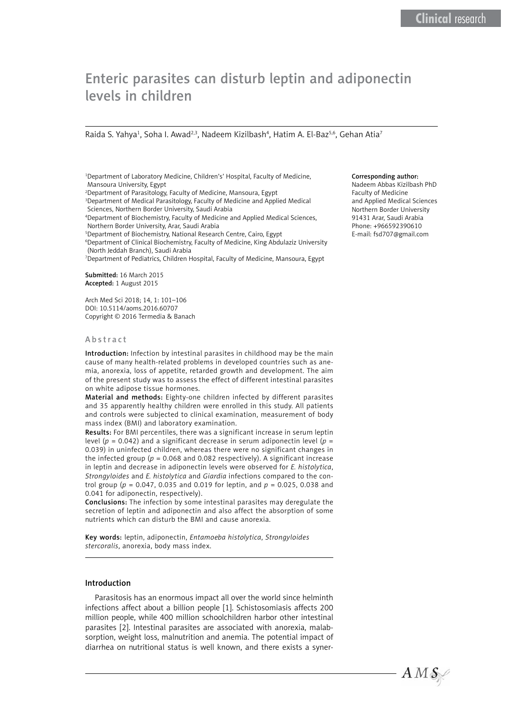# Enteric parasites can disturb leptin and adiponectin levels in children

Raida S. Yahya<sup>1</sup>, Soha I. Awad<sup>2,3</sup>, Nadeem Kizilbash<sup>4</sup>, Hatim A. El-Baz<sup>5,6</sup>, Gehan Atia<sup>7</sup>

1 Department of Laboratory Medicine, Children's' Hospital, Faculty of Medicine, Mansoura University, Egypt

2 Department of Parasitology, Faculty of Medicine, Mansoura, Egypt

3 Department of Medical Parasitology, Faculty of Medicine and Applied Medical Sciences, Northern Border University, Saudi Arabia

4 Department of Biochemistry, Faculty of Medicine and Applied Medical Sciences, Northern Border University, Arar, Saudi Arabia

5 Department of Biochemistry, National Research Centre, Cairo, Egypt

6 Department of Clinical Biochemistry, Faculty of Medicine, King Abdulaziz University (North Jeddah Branch), Saudi Arabia

7 Department of Pediatrics, Children Hospital, Faculty of Medicine, Mansoura, Egypt

Submitted: 16 March 2015 Accepted: 1 August 2015

Arch Med Sci 2018; 14, 1: 101–106 DOI: 10.5114/aoms.2016.60707 Copyright © 2016 Termedia & Banach

#### Abstract

Introduction: Infection by intestinal parasites in childhood may be the main cause of many health-related problems in developed countries such as anemia, anorexia, loss of appetite, retarded growth and development. The aim of the present study was to assess the effect of different intestinal parasites on white adipose tissue hormones.

Material and methods: Eighty-one children infected by different parasites and 35 apparently healthy children were enrolled in this study. All patients and controls were subjected to clinical examination, measurement of body mass index (BMI) and laboratory examination.

Results: For BMI percentiles, there was a significant increase in serum leptin level ( $p = 0.042$ ) and a significant decrease in serum adiponectin level ( $p =$ 0.039) in uninfected children, whereas there were no significant changes in the infected group ( $p = 0.068$  and 0.082 respectively). A significant increase in leptin and decrease in adiponectin levels were observed for *E. histolytica*, *Strongyloides* and *E. histolytica* and *Giardia* infections compared to the control group (*p* = 0.047, 0.035 and 0.019 for leptin, and *p* = 0.025, 0.038 and 0.041 for adiponectin, respectively).

Conclusions: The infection by some intestinal parasites may deregulate the secretion of leptin and adiponectin and also affect the absorption of some nutrients which can disturb the BMI and cause anorexia.

Key words: leptin, adiponectin, *Entamoeba histolytica*, *Strongyloides stercoralis*, anorexia, body mass index.

# Introduction

Parasitosis has an enormous impact all over the world since helminth infections affect about a billion people [1]. Schistosomiasis affects 200 million people, while 400 million schoolchildren harbor other intestinal parasites [2]. Intestinal parasites are associated with anorexia, malabsorption, weight loss, malnutrition and anemia. The potential impact of diarrhea on nutritional status is well known, and there exists a syner-

# Corresponding author:

Nadeem Abbas Kizilbash PhD Faculty of Medicine and Applied Medical Sciences Northern Border University 91431 Arar, Saudi Arabia Phone: +966592390610 E-mail: fsd707@gmail.com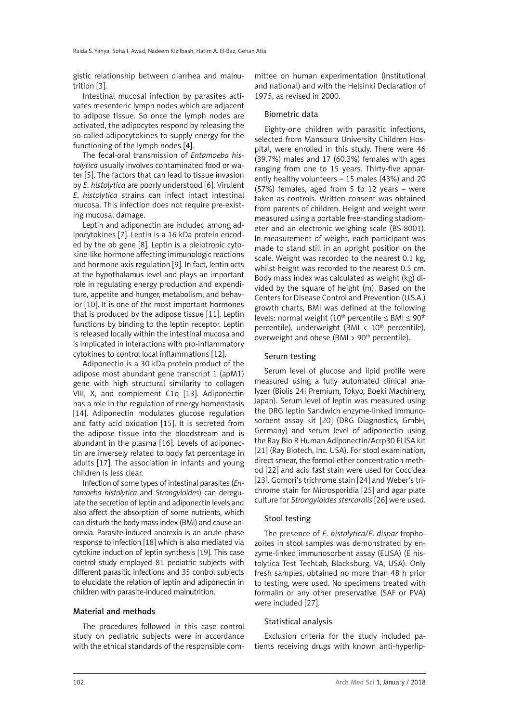gistic relationship between diarrhea and malnutrition [3].

Intestinal mucosal infection by parasites activates mesenteric lymph nodes which are adjacent to adipose tissue. So once the lymph nodes are activated, the adipocytes respond by releasing the so-called adipocytokines to supply energy for the functioning of the lymph nodes [4].

The fecal-oral transmission of *Entamoeba histolytica* usually involves contaminated food or water [5]. The factors that can lead to tissue invasion by *E*. *histolytica* are poorly understood [6]. Virulent *E*. *histolytica* strains can infect intact intestinal mucosa. This infection does not require pre-existing mucosal damage.

Leptin and adiponectin are included among adipocytokines [7]. Leptin is a 16 kDa protein encoded by the ob gene [8]. Leptin is a pleiotropic cytokine-like hormone affecting immunologic reactions and hormone axis regulation [9]. In fact, leptin acts at the hypothalamus level and plays an important role in regulating energy production and expenditure, appetite and hunger, metabolism, and behavior [10]. It is one of the most important hormones that is produced by the adipose tissue [11]. Leptin functions by binding to the leptin receptor. Leptin is released locally within the intestinal mucosa and is implicated in interactions with pro-inflammatory cytokines to control local inflammations [12].

Adiponectin is a 30 kDa protein product of the adipose most abundant gene transcript 1 (apM1) gene with high structural similarity to collagen VIII, X, and complement C1q [13]. Adiponectin has a role in the regulation of energy homeostasis [14]. Adiponectin modulates glucose regulation and fatty acid oxidation [15]. It is secreted from the adipose tissue into the bloodstream and is abundant in the plasma [16]. Levels of adiponectin are inversely related to body fat percentage in adults [17]. The association in infants and young children is less clear.

Infection of some types of intestinal parasites (*Entamoeba histolytica* and *Strongyloides*) can deregulate the secretion of leptin and adiponectin levels and also affect the absorption of some nutrients, which can disturb the body mass index (BMI) and cause anorexia. Parasite-induced anorexia is an acute phase response to infection [18] which is also mediated via cytokine induction of leptin synthesis [19]. This case control study employed 81 pediatric subjects with different parasitic infections and 35 control subjects to elucidate the relation of leptin and adiponectin in children with parasite-induced malnutrition.

## Material and methods

The procedures followed in this case control study on pediatric subjects were in accordance with the ethical standards of the responsible committee on human experimentation (institutional and national) and with the Helsinki Declaration of 1975, as revised in 2000.

## Biometric data

Eighty-one children with parasitic infections, selected from Mansoura University Children Hospital, were enrolled in this study. There were 46 (39.7%) males and 17 (60.3%) females with ages ranging from one to 15 years. Thirty-five apparently healthy volunteers – 15 males (43%) and 20 (57%) females, aged from 5 to 12 years – were taken as controls. Written consent was obtained from parents of children. Height and weight were measured using a portable free-standing stadiometer and an electronic weighing scale (BS-8001). In measurement of weight, each participant was made to stand still in an upright position on the scale. Weight was recorded to the nearest 0.1 kg, whilst height was recorded to the nearest 0.5 cm. Body mass index was calculated as weight (kg) divided by the square of height (m). Based on the Centers for Disease Control and Prevention (U.S.A.) growth charts, BMI was defined at the following levels: normal weight (10<sup>th</sup> percentile  $\leq$  BMI  $\leq$  90<sup>th</sup> percentile), underweight (BMI  $\langle$  10<sup>th</sup> percentile), overweight and obese (BMI > 90<sup>th</sup> percentile).

## Serum testing

Serum level of glucose and lipid profile were measured using a fully automated clinical analyzer (Biolis 24i Premium, Tokyo, Boeki Machinery, Japan). Serum level of leptin was measured using the DRG leptin Sandwich enzyme-linked immunosorbent assay kit [20] (DRG Diagnostics, GmbH, Germany) and serum level of adiponectin using the Ray Bio R Human Adiponectin/Acrp30 ELISA kit [21] (Ray Biotech, Inc. USA). For stool examination, direct smear, the formol-ether concentration method [22] and acid fast stain were used for Coccidea [23]. Gomori's trichrome stain [24] and Weber's trichrome stain for Microsporidia [25] and agar plate culture for *Strongyloides stercoralis* [26] were used.

## Stool testing

The presence of *E*. *histolytica*/*E*. *dispar* trophozoites in stool samples was demonstrated by enzyme-linked immunosorbent assay (ELISA) (E histolytica Test TechLab, Blacksburg, VA, USA). Only fresh samples, obtained no more than 48 h prior to testing, were used. No specimens treated with formalin or any other preservative (SAF or PVA) were included [27].

#### Statistical analysis

Exclusion criteria for the study included patients receiving drugs with known anti-hyperlip-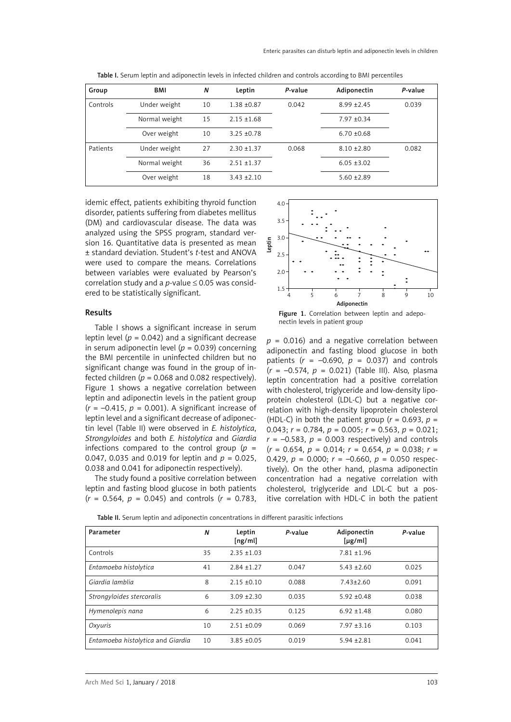| Group    | BMI           | N  | Leptin          | P-value | Adiponectin     | P-value |
|----------|---------------|----|-----------------|---------|-----------------|---------|
| Controls | Under weight  | 10 | $1.38 + 0.87$   | 0.042   | $8.99 + 2.45$   | 0.039   |
|          | Normal weight | 15 | $2.15 \pm 1.68$ |         | $7.97 + 0.34$   |         |
|          | Over weight   | 10 | $3.25 + 0.78$   |         | $6.70 \pm 0.68$ |         |
| Patients | Under weight  | 27 | $2.30 + 1.37$   | 0.068   | $8.10 \pm 2.80$ | 0.082   |
|          | Normal weight | 36 | $2.51 + 1.37$   |         | $6.05 \pm 3.02$ |         |
|          | Over weight   | 18 | $3.43 + 2.10$   |         | $5.60 \pm 2.89$ |         |

Table I. Serum leptin and adiponectin levels in infected children and controls according to BMI percentiles

idemic effect, patients exhibiting thyroid function disorder, patients suffering from diabetes mellitus (DM) and cardiovascular disease. The data was analyzed using the SPSS program, standard version 16. Quantitative data is presented as mean ± standard deviation. Student's *t*-test and ANOVA were used to compare the means. Correlations between variables were evaluated by Pearson's correlation study and a  $p$ -value  $\leq$  0.05 was considered to be statistically significant.

#### Results

Table I shows a significant increase in serum leptin level ( $p = 0.042$ ) and a significant decrease in serum adiponectin level ( $p = 0.039$ ) concerning the BMI percentile in uninfected children but no significant change was found in the group of infected children ( $p = 0.068$  and 0.082 respectively). Figure 1 shows a negative correlation between leptin and adiponectin levels in the patient group  $(r = -0.415, p = 0.001)$ . A significant increase of leptin level and a significant decrease of adiponectin level (Table II) were observed in *E. histolytica*, *Strongyloides* and both *E. histolytica* and *Giardia*  infections compared to the control group  $(p =$ 0.047, 0.035 and 0.019 for leptin and  $p = 0.025$ , 0.038 and 0.041 for adiponectin respectively).

The study found a positive correlation between leptin and fasting blood glucose in both patients  $(r = 0.564, p = 0.045)$  and controls  $(r = 0.783,$ 





 $p = 0.016$ ) and a negative correlation between adiponectin and fasting blood glucose in both patients  $(r = -0.690, p = 0.037)$  and controls (*r* = –0.574, *p* = 0.021) (Table III). Also, plasma leptin concentration had a positive correlation with cholesterol, triglyceride and low-density lipoprotein cholesterol (LDL-C) but a negative correlation with high-density lipoprotein cholesterol (HDL-C) in both the patient group ( $r = 0.693$ ,  $p =$ 0.043; *r* = 0.784, *p* = 0.005; *r* = 0.563, *p* = 0.021;  $r = -0.583$ ,  $p = 0.003$  respectively) and controls (*r* = 0.654, *p* = 0.014; *r* = 0.654, *p* = 0.038; *r* = 0.429,  $p = 0.000$ ;  $r = -0.660$ ,  $p = 0.050$  respectively). On the other hand, plasma adiponectin concentration had a negative correlation with cholesterol, triglyceride and LDL-C but a positive correlation with HDL-C in both the patient

| Parameter                         | N  | Leptin<br>[ng/ml] | P-value | Adiponectin<br>$[\mu g/ml]$ | P-value |
|-----------------------------------|----|-------------------|---------|-----------------------------|---------|
| Controls                          | 35 | $2.35 + 1.03$     |         | $7.81 \pm 1.96$             |         |
| Entamoeba histolytica             | 41 | $2.84 + 1.27$     | 0.047   | $5.43 + 2.60$               | 0.025   |
| Giardia lamblia                   | 8  | $2.15 \pm 0.10$   | 0.088   | $7.43 \pm 2.60$             | 0.091   |
| Strongyloides stercoralis         | 6  | $3.09 \pm 2.30$   | 0.035   | $5.92 \pm 0.48$             | 0.038   |
| Hymenolepis nana                  | 6  | $2.25 + 0.35$     | 0.125   | $6.92 \pm 1.48$             | 0.080   |
| Oxyuris                           | 10 | $2.51 + 0.09$     | 0.069   | $7.97 \pm 3.16$             | 0.103   |
| Entamoeba histolytica and Giardia | 10 | $3.85 + 0.05$     | 0.019   | $5.94 \pm 2.81$             | 0.041   |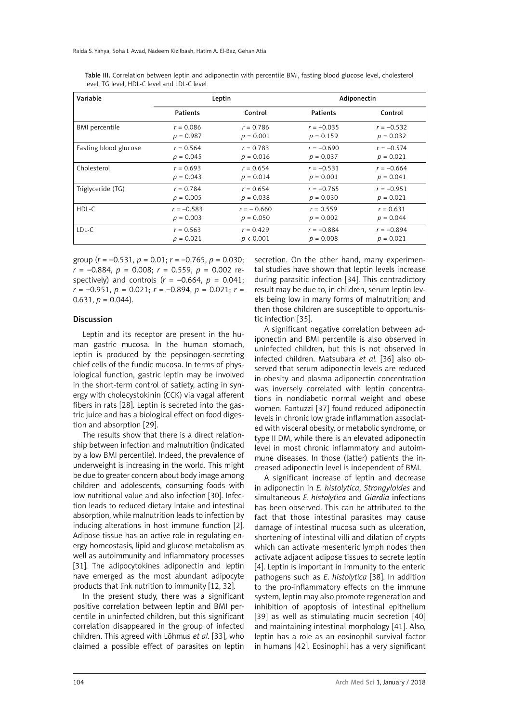| Variable              |                 | Leptin       | Adiponectin  |              |  |
|-----------------------|-----------------|--------------|--------------|--------------|--|
|                       | <b>Patients</b> | Control      | Patients     | Control      |  |
| <b>BMI</b> percentile | $r = 0.086$     | $r = 0.786$  | $r = -0.035$ | $r = -0.532$ |  |
|                       | $p = 0.987$     | $p = 0.001$  | $p = 0.159$  | $p = 0.032$  |  |
| Fasting blood glucose | $r = 0.564$     | $r = 0.783$  | $r = -0.690$ | $r = -0.574$ |  |
|                       | $p = 0.045$     | $p = 0.016$  | $p = 0.037$  | $p = 0.021$  |  |
| Cholesterol           | $r = 0.693$     | $r = 0.654$  | $r = -0.531$ | $r = -0.664$ |  |
|                       | $p = 0.043$     | $p = 0.014$  | $p = 0.001$  | $p = 0.041$  |  |
| Triglyceride (TG)     | $r = 0.784$     | $r = 0.654$  | $r = -0.765$ | $r = -0.951$ |  |
|                       | $p = 0.005$     | $p = 0.038$  | $p = 0.030$  | $p = 0.021$  |  |
| HDL-C                 | $r = -0.583$    | $r = -0.660$ | $r = 0.559$  | $r = 0.631$  |  |
|                       | $p = 0.003$     | $p = 0.050$  | $p = 0.002$  | $p = 0.044$  |  |
| LDL-C                 | $r = 0.563$     | $r = 0.429$  | $r = -0.884$ | $r = -0.894$ |  |
|                       | $p = 0.021$     | p < 0.001    | $p = 0.008$  | $p = 0.021$  |  |

Table III. Correlation between leptin and adiponectin with percentile BMI, fasting blood glucose level, cholesterol level, TG level, HDL-C level and LDL-C level

group (*r* = –0.531, *p* = 0.01; *r* = –0.765, *p* = 0.030;  $r = -0.884$ ,  $p = 0.008$ ;  $r = 0.559$ ,  $p = 0.002$  respectively) and controls  $(r = -0.664, p = 0.041;$ *r* = –0.951, *p* = 0.021; *r* = –0.894, *p* = 0.021; *r* = 0.631,  $p = 0.044$ ).

# Discussion

Leptin and its receptor are present in the human gastric mucosa. In the human stomach, leptin is produced by the pepsinogen-secreting chief cells of the fundic mucosa. In terms of physiological function, gastric leptin may be involved in the short-term control of satiety, acting in synergy with cholecystokinin (CCK) via vagal afferent fibers in rats [28]. Leptin is secreted into the gastric juice and has a biological effect on food digestion and absorption [29].

The results show that there is a direct relationship between infection and malnutrition (indicated by a low BMI percentile). Indeed, the prevalence of underweight is increasing in the world. This might be due to greater concern about body image among children and adolescents, consuming foods with low nutritional value and also infection [30]. Infection leads to reduced dietary intake and intestinal absorption, while malnutrition leads to infection by inducing alterations in host immune function [2]. Adipose tissue has an active role in regulating energy homeostasis, lipid and glucose metabolism as well as autoimmunity and inflammatory processes [31]. The adipocytokines adiponectin and leptin have emerged as the most abundant adipocyte products that link nutrition to immunity [12, 32].

In the present study, there was a significant positive correlation between leptin and BMI percentile in uninfected children, but this significant correlation disappeared in the group of infected children. This agreed with Lõhmus *et al.* [33], who claimed a possible effect of parasites on leptin

secretion. On the other hand, many experimental studies have shown that leptin levels increase during parasitic infection [34]. This contradictory result may be due to, in children, serum leptin levels being low in many forms of malnutrition; and then those children are susceptible to opportunistic infection [35].

A significant negative correlation between adiponectin and BMI percentile is also observed in uninfected children, but this is not observed in infected children. Matsubara *et al.* [36] also observed that serum adiponectin levels are reduced in obesity and plasma adiponectin concentration was inversely correlated with leptin concentrations in nondiabetic normal weight and obese women. Fantuzzi [37] found reduced adiponectin levels in chronic low grade inflammation associated with visceral obesity, or metabolic syndrome, or type II DM, while there is an elevated adiponectin level in most chronic inflammatory and autoimmune diseases. In those (latter) patients the increased adiponectin level is independent of BMI.

A significant increase of leptin and decrease in adiponectin in *E. histolytica*, *Strongyloides* and simultaneous *E. histolytica* and *Giardia* infections has been observed. This can be attributed to the fact that those intestinal parasites may cause damage of intestinal mucosa such as ulceration, shortening of intestinal villi and dilation of crypts which can activate mesenteric lymph nodes then activate adjacent adipose tissues to secrete leptin [4]. Leptin is important in immunity to the enteric pathogens such as *E*. *histolytica* [38]. In addition to the pro-inflammatory effects on the immune system, leptin may also promote regeneration and inhibition of apoptosis of intestinal epithelium [39] as well as stimulating mucin secretion [40] and maintaining intestinal morphology [41]. Also, leptin has a role as an eosinophil survival factor in humans [42]. Eosinophil has a very significant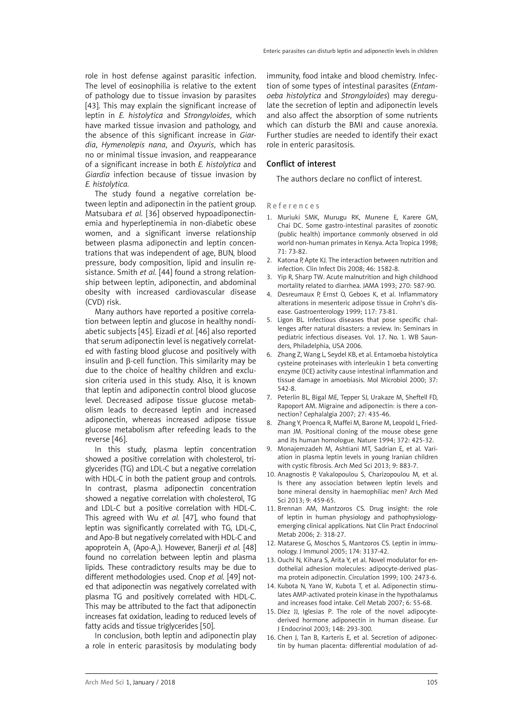role in host defense against parasitic infection. The level of eosinophilia is relative to the extent of pathology due to tissue invasion by parasites [43]. This may explain the significant increase of leptin in *E. histolytica* and *Strongyloides*, which have marked tissue invasion and pathology, and the absence of this significant increase in *Giardia*, *Hymenolepis nana*, and *Oxyuris*, which has no or minimal tissue invasion, and reappearance of a significant increase in both *E. histolytica* and *Giardia* infection because of tissue invasion by *E. histolytica.*

The study found a negative correlation between leptin and adiponectin in the patient group. Matsubara *et al.* [36] observed hypoadiponectinemia and hyperleptinemia in non-diabetic obese women, and a significant inverse relationship between plasma adiponectin and leptin concentrations that was independent of age, BUN, blood pressure, body composition, lipid and insulin resistance. Smith *et al.* [44] found a strong relationship between leptin, adiponectin, and abdominal obesity with increased cardiovascular disease (CVD) risk.

Many authors have reported a positive correlation between leptin and glucose in healthy nondiabetic subjects [45]. Eizadi *et al.* [46] also reported that serum adiponectin level is negatively correlated with fasting blood glucose and positively with insulin and β-cell function. This similarity may be due to the choice of healthy children and exclusion criteria used in this study. Also, it is known that leptin and adiponectin control blood glucose level. Decreased adipose tissue glucose metabolism leads to decreased leptin and increased adiponectin, whereas increased adipose tissue glucose metabolism after refeeding leads to the reverse [46].

In this study, plasma leptin concentration showed a positive correlation with cholesterol, triglycerides (TG) and LDL-C but a negative correlation with HDL-C in both the patient group and controls. In contrast, plasma adiponectin concentration showed a negative correlation with cholesterol, TG and LDL-C but a positive correlation with HDL-C. This agreed with Wu *et al.* [47], who found that leptin was significantly correlated with TG, LDL-C, and Apo-B but negatively correlated with HDL-C and apoprotein A<sub>1</sub> (Apo-A<sub>1</sub>). However, Banerji *et al*. [48] found no correlation between leptin and plasma lipids. These contradictory results may be due to different methodologies used. Cnop *et al.* [49] noted that adiponectin was negatively correlated with plasma TG and positively correlated with HDL-C. This may be attributed to the fact that adiponectin increases fat oxidation, leading to reduced levels of fatty acids and tissue triglycerides [50].

In conclusion, both leptin and adiponectin play a role in enteric parasitosis by modulating body immunity, food intake and blood chemistry. Infection of some types of intestinal parasites (*Entamoeba histolytica* and *Strongyloides*) may deregulate the secretion of leptin and adiponectin levels and also affect the absorption of some nutrients which can disturb the BMI and cause anorexia. Further studies are needed to identify their exact role in enteric parasitosis.

## Conflict of interest

The authors declare no conflict of interest.

#### References

- 1. Muriuki SMK, Murugu RK, Munene E, Karere GM, Chai DC. Some gastro-intestinal parasites of zoonotic (public health) importance commonly observed in old world non-human primates in Kenya. Acta Tropica 1998; 71: 73-82.
- 2. Katona P, Apte KJ. The interaction between nutrition and infection. Clin Infect Dis 2008; 46: 1582-8.
- 3. Yip R, Sharp TW. Acute malnutrition and high childhood mortality related to diarrhea. JAMA 1993; 270: 587-90.
- 4. Desreumaux P, Ernst O, Geboes K, et al. Inflammatory alterations in mesenteric adipose tissue in Crohn's disease. Gastroenterology 1999; 117: 73-81.
- 5. Ligon BL. Infectious diseases that pose specific challenges after natural disasters: a review. In: Seminars in pediatric infectious diseases. Vol. 17. No. 1. WB Saunders, Philadelphia, USA 2006.
- 6. Zhang Z, Wang L, [Seydel KB](http://www.ncbi.nlm.nih.gov/pubmed/?term=Seydel KB%5BAuthor%5D&cauthor=true&cauthor_uid=10931347), et al. Entamoeba histolytica cysteine proteinases with interleukin 1 beta converting enzyme (ICE) activity cause intestinal inflammation and tissue damage in amoebiasis. Mol Microbiol 2000; 37: 542-8.
- 7. Peterlin BL, Bigal ME, Tepper SJ, Urakaze M, Sheftell FD, Rapoport AM. Migraine and adiponectin: is there a connection? Cephalalgia 2007; 27: 435-46.
- 8. Zhang Y, Proenca R, Maffei M, Barone M, Leopold L, Friedman JM. Positional cloning of the mouse obese gene and its human homologue. Nature 1994; 372: 425-32.
- 9. Monajemzadeh M, Ashtiani MT, Sadrian E, et al. Variation in plasma leptin levels in young Iranian children with cystic fibrosis. Arch Med Sci 2013; 9: 883-7.
- 10. [Anagnostis P,](http://www.ncbi.nlm.nih.gov/pubmed/?term=Anagnostis P%5BAuthor%5D&cauthor=true&cauthor_uid=23847667)  [Vakalopoulou S](http://www.ncbi.nlm.nih.gov/pubmed/?term=Vakalopoulou S%5BAuthor%5D&cauthor=true&cauthor_uid=23847667),  [Charizopoulou M](http://www.ncbi.nlm.nih.gov/pubmed/?term=Charizopoulou M%5BAuthor%5D&cauthor=true&cauthor_uid=23847667), et al. Is there any association between leptin levels and bone mineral density in haemophiliac men? [Arch Med](http://www.ncbi.nlm.nih.gov/pubmed/23847667) [Sci](http://www.ncbi.nlm.nih.gov/pubmed/23847667) 2013; 9: 459-65.
- 11. Brennan AM, Mantzoros CS. Drug insight: the role of leptin in human physiology and pathophysiologyemerging clinical applications. Nat Clin Pract Endocrinol Metab 2006; 2: 318-27.
- 12. Matarese G, Moschos S, Mantzoros CS. Leptin in immunology. J Immunol 2005; 174: 3137-42.
- 13. Ouchi N, Kihara S, Arita Y, et al. Novel modulator for endothelial adhesion molecules: adipocyte-derived plasma protein adiponectin. Circulation 1999; 100: 2473-6.
- 14. Kubota N, Yano W, Kubota T, et al. Adiponectin stimulates AMP-activated protein kinase in the hypothalamus and increases food intake. Cell Metab 2007; 6: 55-68.
- 15. Díez JJ, Iglesias P. The role of the novel adipocytederived hormone adiponectin in human disease. Eur J Endocrinol 2003; 148: 293-300.
- 16. Chen J, [Tan B,](http://www.ncbi.nlm.nih.gov/pubmed/?term=Tan B%5BAuthor%5D&cauthor=true&cauthor_uid=16570162) [Karteris E](http://www.ncbi.nlm.nih.gov/pubmed/?term=Karteris E%5BAuthor%5D&cauthor=true&cauthor_uid=16570162), et al. Secretion of adiponectin by human placenta: differential modulation of ad-